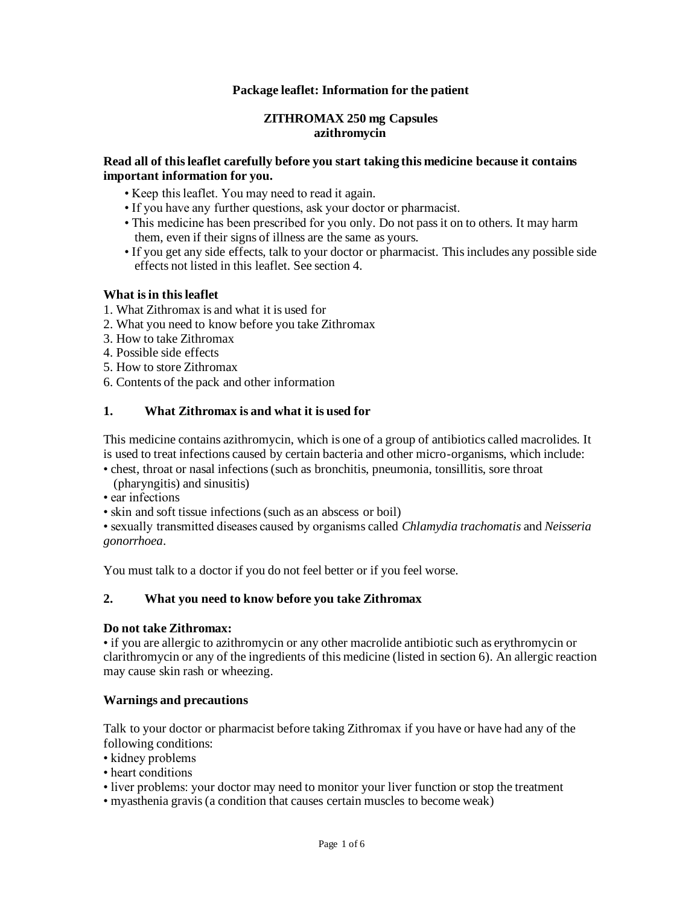## **Package leaflet: Information for the patient**

### **ZITHROMAX 250 mg Capsules azithromycin**

### **Read all of this leaflet carefully before you start taking this medicine because it contains important information for you.**

- Keep this leaflet. You may need to read it again.
- If you have any further questions, ask your doctor or pharmacist.
- This medicine has been prescribed for you only. Do not pass it on to others. It may harm them, even if their signs of illness are the same as yours.
- If you get any side effects, talk to your doctor or pharmacist. This includes any possible side effects not listed in this leaflet. See section 4.

## **What is in this leaflet**

- 1. What Zithromax is and what it is used for
- 2. What you need to know before you take Zithromax
- 3. How to take Zithromax
- 4. Possible side effects
- 5. How to store Zithromax
- 6. Contents of the pack and other information

# **1. What Zithromax is and what it is used for**

This medicine contains azithromycin, which is one of a group of antibiotics called macrolides. It is used to treat infections caused by certain bacteria and other micro-organisms, which include:

• chest, throat or nasal infections (such as bronchitis, pneumonia, tonsillitis, sore throat (pharyngitis) and sinusitis)

• ear infections

• skin and soft tissue infections (such as an abscess or boil)

• sexually transmitted diseases caused by organisms called *Chlamydia trachomatis* and *Neisseria gonorrhoea*.

You must talk to a doctor if you do not feel better or if you feel worse.

### **2. What you need to know before you take Zithromax**

### **Do not take Zithromax:**

• if you are allergic to azithromycin or any other macrolide antibiotic such as erythromycin or clarithromycin or any of the ingredients of this medicine (listed in section 6). An allergic reaction may cause skin rash or wheezing.

### **Warnings and precautions**

Talk to your doctor or pharmacist before taking Zithromax if you have or have had any of the following conditions:

- kidney problems
- heart conditions
- liver problems: your doctor may need to monitor your liver function or stop the treatment
- myasthenia gravis (a condition that causes certain muscles to become weak)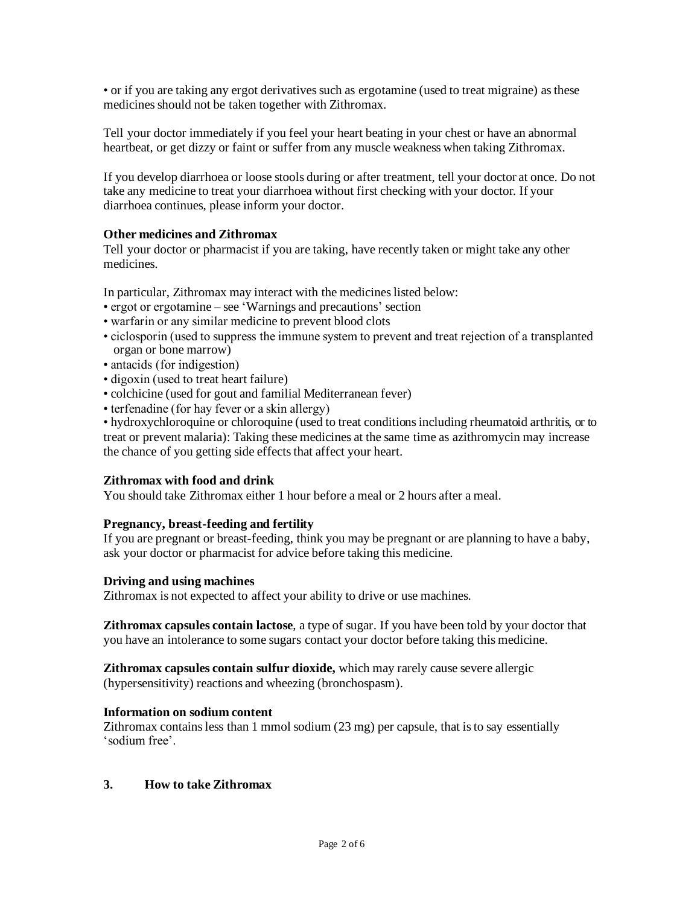• or if you are taking any ergot derivatives such as ergotamine (used to treat migraine) as these medicines should not be taken together with Zithromax.

Tell your doctor immediately if you feel your heart beating in your chest or have an abnormal heartbeat, or get dizzy or faint or suffer from any muscle weakness when taking Zithromax.

If you develop diarrhoea or loose stools during or after treatment, tell your doctor at once. Do not take any medicine to treat your diarrhoea without first checking with your doctor. If your diarrhoea continues, please inform your doctor.

## **Other medicines and Zithromax**

Tell your doctor or pharmacist if you are taking, have recently taken or might take any other medicines.

In particular, Zithromax may interact with the medicines listed below:

- ergot or ergotamine see 'Warnings and precautions' section
- warfarin or any similar medicine to prevent blood clots
- ciclosporin (used to suppress the immune system to prevent and treat rejection of a transplanted organ or bone marrow)
- antacids (for indigestion)
- digoxin (used to treat heart failure)
- colchicine (used for gout and familial Mediterranean fever)
- terfenadine (for hay fever or a skin allergy)

• hydroxychloroquine or chloroquine (used to treat conditions including rheumatoid arthritis, or to treat or prevent malaria): Taking these medicines at the same time as azithromycin may increase the chance of you getting side effects that affect your heart.

### **Zithromax with food and drink**

You should take Zithromax either 1 hour before a meal or 2 hours after a meal.

### **Pregnancy, breast-feeding and fertility**

If you are pregnant or breast-feeding, think you may be pregnant or are planning to have a baby, ask your doctor or pharmacist for advice before taking this medicine.

### **Driving and using machines**

Zithromax is not expected to affect your ability to drive or use machines.

**Zithromax capsules contain lactose**, a type of sugar. If you have been told by your doctor that you have an intolerance to some sugars contact your doctor before taking this medicine.

**Zithromax capsules contain sulfur dioxide,** which may rarely cause severe allergic (hypersensitivity) reactions and wheezing (bronchospasm).

### **Information on sodium content**

Zithromax contains less than 1 mmol sodium (23 mg) per capsule, that is to say essentially 'sodium free'.

### **3. How to take Zithromax**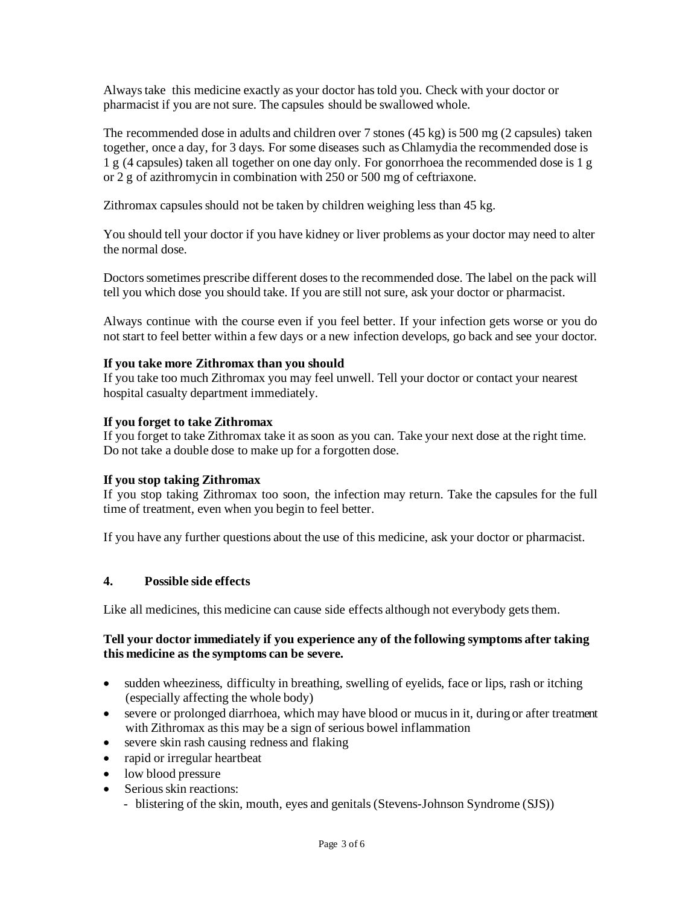Always take this medicine exactly as your doctor has told you. Check with your doctor or pharmacist if you are not sure. The capsules should be swallowed whole.

The recommended dose in adults and children over 7 stones (45 kg) is 500 mg (2 capsules) taken together, once a day, for 3 days. For some diseases such as Chlamydia the recommended dose is 1 g (4 capsules) taken all together on one day only. For gonorrhoea the recommended dose is 1 g or 2 g of azithromycin in combination with 250 or 500 mg of ceftriaxone.

Zithromax capsules should not be taken by children weighing less than 45 kg.

You should tell your doctor if you have kidney or liver problems as your doctor may need to alter the normal dose.

Doctors sometimes prescribe different doses to the recommended dose. The label on the pack will tell you which dose you should take. If you are still not sure, ask your doctor or pharmacist.

Always continue with the course even if you feel better. If your infection gets worse or you do not start to feel better within a few days or a new infection develops, go back and see your doctor.

## **If you take more Zithromax than you should**

If you take too much Zithromax you may feel unwell. Tell your doctor or contact your nearest hospital casualty department immediately.

### **If you forget to take Zithromax**

If you forget to take Zithromax take it as soon as you can. Take your next dose at the right time. Do not take a double dose to make up for a forgotten dose.

### **If you stop taking Zithromax**

If you stop taking Zithromax too soon, the infection may return. Take the capsules for the full time of treatment, even when you begin to feel better.

If you have any further questions about the use of this medicine, ask your doctor or pharmacist.

### **4. Possible side effects**

Like all medicines, this medicine can cause side effects although not everybody gets them.

### **Tell your doctor immediately if you experience any of the following symptoms after taking this medicine as the symptoms can be severe.**

- sudden wheeziness, difficulty in breathing, swelling of eyelids, face or lips, rash or itching (especially affecting the whole body)
- severe or prolonged diarrhoea, which may have blood or mucus in it, during or after treatment with Zithromax as this may be a sign of serious bowel inflammation
- severe skin rash causing redness and flaking
- rapid or irregular heartbeat
- low blood pressure
- Serious skin reactions:
	- blistering of the skin, mouth, eyes and genitals (Stevens-Johnson Syndrome (SJS))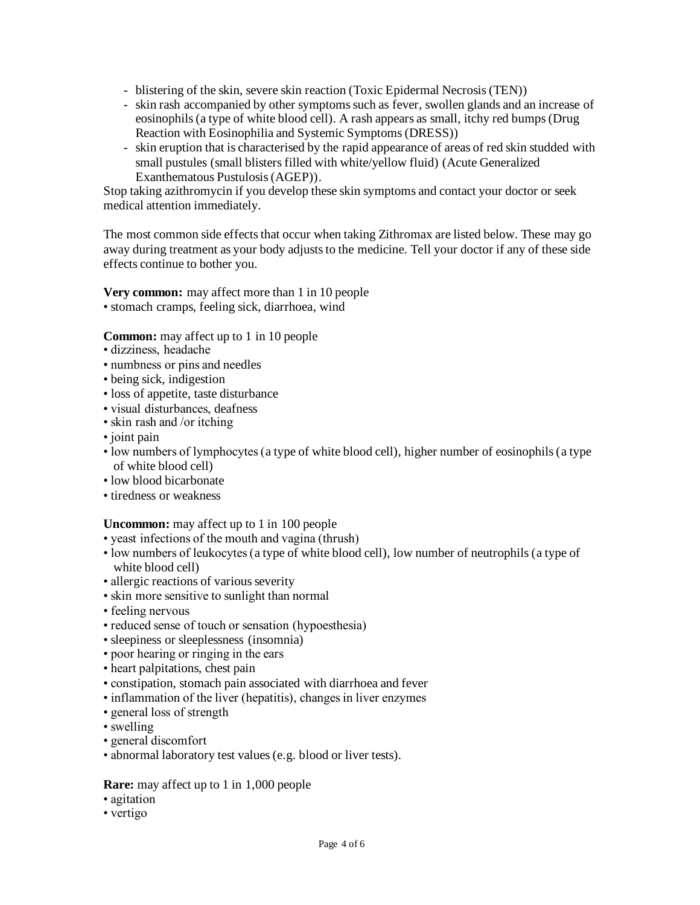- blistering of the skin, severe skin reaction (Toxic Epidermal Necrosis(TEN))
- skin rash accompanied by other symptoms such as fever, swollen glands and an increase of eosinophils (a type of white blood cell). A rash appears as small, itchy red bumps (Drug Reaction with Eosinophilia and Systemic Symptoms(DRESS))
- skin eruption that is characterised by the rapid appearance of areas of red skin studded with small pustules (small blisters filled with white/yellow fluid) (Acute Generalized Exanthematous Pustulosis (AGEP)).

Stop taking azithromycin if you develop these skin symptoms and contact your doctor or seek medical attention immediately.

The most common side effects that occur when taking Zithromax are listed below. These may go away during treatment as your body adjusts to the medicine. Tell your doctor if any of these side effects continue to bother you.

**Very common:** may affect more than 1 in 10 people • stomach cramps, feeling sick, diarrhoea, wind

**Common:** may affect up to 1 in 10 people

- dizziness, headache
- numbness or pins and needles
- being sick, indigestion
- loss of appetite, taste disturbance
- visual disturbances, deafness
- skin rash and /or itching
- joint pain
- low numbers of lymphocytes (a type of white blood cell), higher number of eosinophils (a type of white blood cell)
- low blood bicarbonate
- tiredness or weakness

### **Uncommon:** may affect up to 1 in 100 people

- yeast infections of the mouth and vagina (thrush)
- low numbers of leukocytes (a type of white blood cell), low number of neutrophils (a type of white blood cell)
- allergic reactions of various severity
- skin more sensitive to sunlight than normal
- feeling nervous
- reduced sense of touch or sensation (hypoesthesia)
- sleepiness or sleeplessness (insomnia)
- poor hearing or ringing in the ears
- heart palpitations, chest pain
- constipation, stomach pain associated with diarrhoea and fever
- inflammation of the liver (hepatitis), changes in liver enzymes
- general loss of strength
- swelling
- general discomfort
- abnormal laboratory test values (e.g. blood or liver tests).

### **Rare:** may affect up to 1 in 1,000 people

- agitation
- vertigo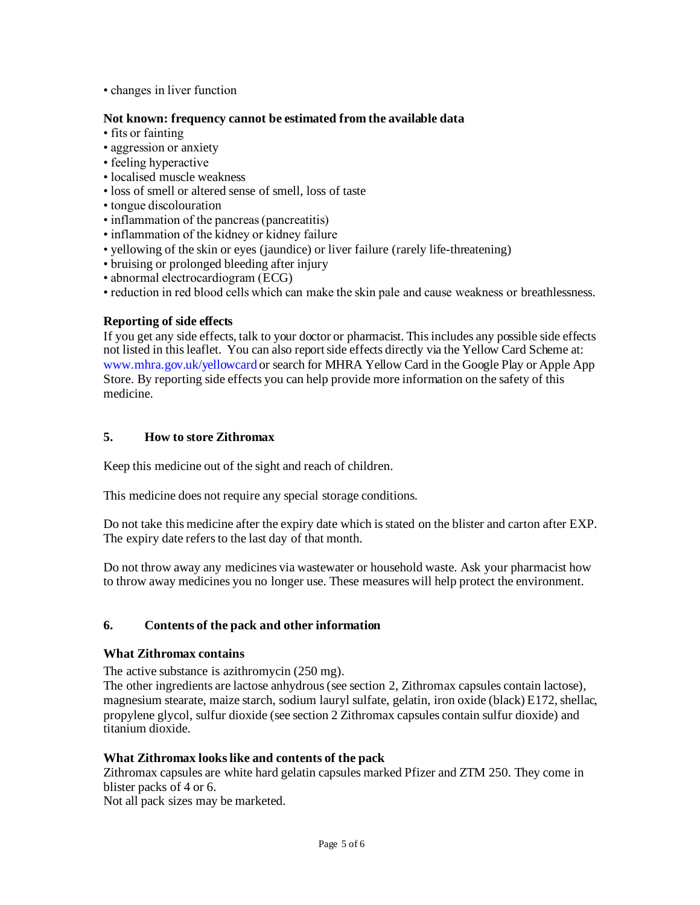• changes in liver function

## **Not known: frequency cannot be estimated from the available data**

- fits or fainting
- aggression or anxiety
- feeling hyperactive
- localised muscle weakness
- loss of smell or altered sense of smell, loss of taste
- tongue discolouration
- inflammation of the pancreas (pancreatitis)
- inflammation of the kidney or kidney failure
- yellowing of the skin or eyes (jaundice) or liver failure (rarely life-threatening)
- bruising or prolonged bleeding after injury
- abnormal electrocardiogram (ECG)
- reduction in red blood cells which can make the skin pale and cause weakness or breathlessness.

## **Reporting of side effects**

If you get any side effects, talk to your doctor or pharmacist. This includes any possible side effects not listed in this leaflet. You can also report side effects directly via the Yellow Card Scheme at: [www.mhra.gov.uk/yellowcard](http://www.mhra.gov.uk/yellowcard) or search for MHRA Yellow Card in the Google Play or Apple App Store. By reporting side effects you can help provide more information on the safety of this medicine.

# **5. How to store Zithromax**

Keep this medicine out of the sight and reach of children.

This medicine does not require any special storage conditions.

Do not take this medicine after the expiry date which is stated on the blister and carton after EXP. The expiry date refers to the last day of that month.

Do not throw away any medicines via wastewater or household waste. Ask your pharmacist how to throw away medicines you no longer use. These measures will help protect the environment.

# **6. Contents of the pack and other information**

### **What Zithromax contains**

The active substance is azithromycin (250 mg).

The other ingredients are lactose anhydrous (see section 2, Zithromax capsules contain lactose), magnesium stearate, maize starch, sodium lauryl sulfate, gelatin, iron oxide (black) E172, shellac, propylene glycol, sulfur dioxide (see section 2 Zithromax capsules contain sulfur dioxide) and titanium dioxide.

### **What Zithromax looks like and contents of the pack**

Zithromax capsules are white hard gelatin capsules marked Pfizer and ZTM 250. They come in blister packs of 4 or 6.

Not all pack sizes may be marketed.